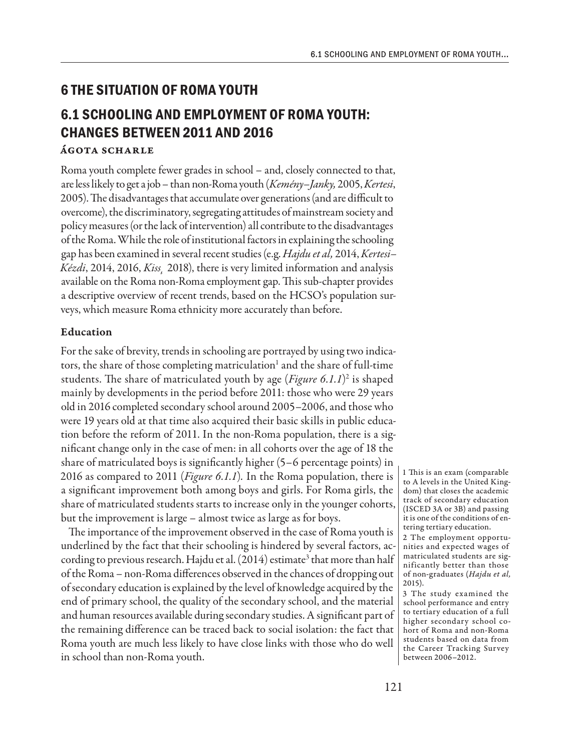## **6 THE SITUATION OF ROMA YOUTH**

# **6.1 SCHOOLING AND EMPLOYMENT OF ROMA YOUTH: CHANGES BETWEEN 2011 AND 2016**

#### Ágota Scharle

Roma youth complete fewer grades in school – and, closely connected to that, are less likely to get a job – than non-Roma youth (*Kemény–Janky,* 2005, *Kertesi*, 2005). The disadvantages that accumulate over generations (and are difficult to overcome), the discriminatory, segregating attitudes of mainstream society and policy measures (or the lack of intervention) all contribute to the disadvantages of the Roma. While the role of institutional factors in explaining the schooling gap has been examined in several recent studies (e.g. *Hajdu et al,* 2014, *Kertesi– Kézdi*, 2014, 2016, *Kiss¸* 2018), there is very limited information and analysis available on the Roma non-Roma employment gap. This sub-chapter provides a descriptive overview of recent trends, based on the HCSO's population surveys, which measure Roma ethnicity more accurately than before.

### Education

For the sake of brevity, trends in schooling are portrayed by using two indicators, the share of those completing matriculation<sup>1</sup> and the share of full-time students. The share of matriculated youth by age (Figure 6.1.1)<sup>2</sup> is shaped mainly by developments in the period before 2011: those who were 29 years old in 2016 completed secondary school around 2005–2006, and those who were 19 years old at that time also acquired their basic skills in public education before the reform of 2011. In the non-Roma population, there is a significant change only in the case of men: in all cohorts over the age of 18 the share of matriculated boys is significantly higher (5–6 percentage points) in 2016 as compared to 2011 (*Figure 6.1.1*)*.* In the Roma population, there is a significant improvement both among boys and girls. For Roma girls, the share of matriculated students starts to increase only in the younger cohorts, but the improvement is large – almost twice as large as for boys.

The importance of the improvement observed in the case of Roma youth is underlined by the fact that their schooling is hindered by several factors, according to previous research. Hajdu et al. (2014) estimate<sup>3</sup> that more than half of the Roma – non-Roma differences observed in the chances of dropping out of secondary education is explained by the level of knowledge acquired by the end of primary school, the quality of the secondary school, and the material and human resources available during secondary studies. A significant part of the remaining difference can be traced back to social isolation: the fact that Roma youth are much less likely to have close links with those who do well in school than non-Roma youth.

1 This is an exam (comparable to A levels in the United Kingdom) that closes the academic track of secondary education (ISCED 3A or 3B) and passing it is one of the conditions of entering tertiary education.

2 The employment opportunities and expected wages of matriculated students are significantly better than those of non-graduates (*Hajdu et al,*  2015).

3 The study examined the school performance and entry to tertiary education of a full higher secondary school cohort of Roma and non-Roma students based on data from the Career Tracking Survey between 2006–2012.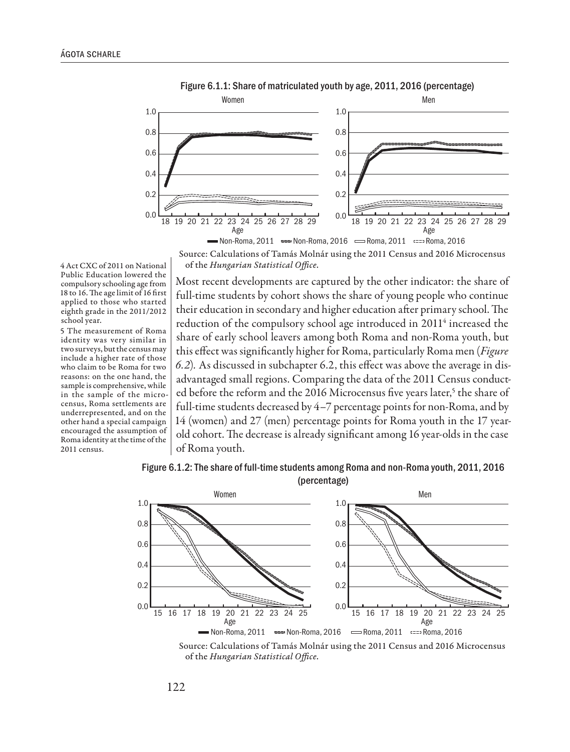



Source: Calculations of Tamás Molnár using the 2011 Census and 2016 Microcensus of the *Hungarian Statistical Office*.

4 Act CXC of 2011 on National Public Education lowered the compulsory schooling age from 18 to 16. The age limit of 16 first applied to those who started eighth grade in the 2011/2012 school year.

5 The measurement of Roma identity was very similar in two surveys, but the census may include a higher rate of those who claim to be Roma for two reasons: on the one hand, the sample is comprehensive, while in the sample of the microcensus, Roma settlements are underrepresented, and on the other hand a special campaign encouraged the assumption of Roma identity at the time of the 2011 census.

Most recent developments are captured by the other indicator: the share of full-time students by cohort shows the share of young people who continue their education in secondary and higher education after primary school. The reduction of the compulsory school age introduced in 2011<sup>4</sup> increased the share of early school leavers among both Roma and non-Roma youth, but this effect was significantly higher for Roma, particularly Roma men (*Figure 6.2*)*.* As discussed in subchapter 6.2, this effect was above the average in disadvantaged small regions. Comparing the data of the 2011 Census conducted before the reform and the 2016 Microcensus five years later,<sup>5</sup> the share of full-time students decreased by 4–7 percentage points for non-Roma, and by 14 (women) and 27 (men) percentage points for Roma youth in the 17 yearold cohort. The decrease is already significant among 16 year-olds in the case of Roma youth.





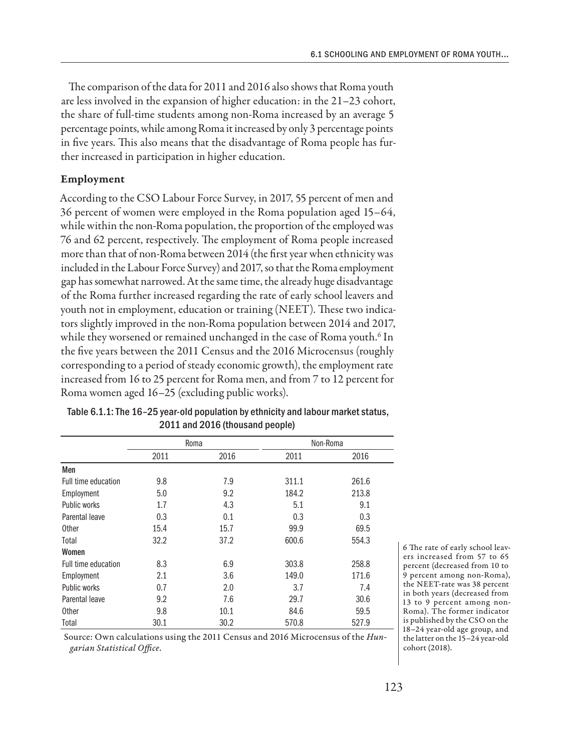The comparison of the data for 2011 and 2016 also shows that Roma youth are less involved in the expansion of higher education: in the 21–23 cohort, the share of full-time students among non-Roma increased by an average 5 percentage points, while among Roma it increased by only 3 percentage points in five years. This also means that the disadvantage of Roma people has further increased in participation in higher education.

#### Employment

According to the CSO Labour Force Survey, in 2017, 55 percent of men and 36 percent of women were employed in the Roma population aged 15–64, while within the non-Roma population, the proportion of the employed was 76 and 62 percent, respectively. The employment of Roma people increased more than that of non-Roma between 2014 (the first year when ethnicity was included in the Labour Force Survey) and 2017, so that the Roma employment gap has somewhat narrowed. At the same time, the already huge disadvantage of the Roma further increased regarding the rate of early school leavers and youth not in employment, education or training (NEET). These two indicators slightly improved in the non-Roma population between 2014 and 2017, while they worsened or remained unchanged in the case of Roma youth.<sup>6</sup> In the five years between the 2011 Census and the 2016 Microcensus (roughly corresponding to a period of steady economic growth), the employment rate increased from 16 to 25 percent for Roma men, and from 7 to 12 percent for Roma women aged 16–25 (excluding public works).

|                     | Roma |      | Non-Roma |       |
|---------------------|------|------|----------|-------|
|                     | 2011 | 2016 | 2011     | 2016  |
| Men                 |      |      |          |       |
| Full time education | 9.8  | 7.9  | 311.1    | 261.6 |
| Employment          | 5.0  | 9.2  | 184.2    | 213.8 |
| Public works        | 1.7  | 4.3  | 5.1      | 9.1   |
| Parental leave      | 0.3  | 0.1  | 0.3      | 0.3   |
| <b>Other</b>        | 15.4 | 15.7 | 99.9     | 69.5  |
| Total               | 32.2 | 37.2 | 600.6    | 554.3 |
| Women               |      |      |          |       |
| Full time education | 8.3  | 6.9  | 303.8    | 258.8 |
| Employment          | 2.1  | 3.6  | 149.0    | 171.6 |
| Public works        | 0.7  | 2.0  | 3.7      | 7.4   |
| Parental leave      | 9.2  | 7.6  | 29.7     | 30.6  |
| <b>Other</b>        | 9.8  | 10.1 | 84.6     | 59.5  |
| Total               | 30.1 | 30.2 | 570.8    | 527.9 |

Table 6.1.1: The 16–25 year-old population by ethnicity and labour market status, 2011 and 2016 (thousand people)

Source: Own calculations using the 2011 Census and 2016 Microcensus of the *Hungarian Statistical Office*.

6 The rate of early school leavers increased from 57 to 65 percent (decreased from 10 to 9 percent among non-Roma), the NEET-rate was 38 percent in both years (decreased from 13 to 9 percent among non-Roma). The former indicator is published by the CSO on the 18–24 year-old age group, and the latter on the 15–24 year-old cohort (2018).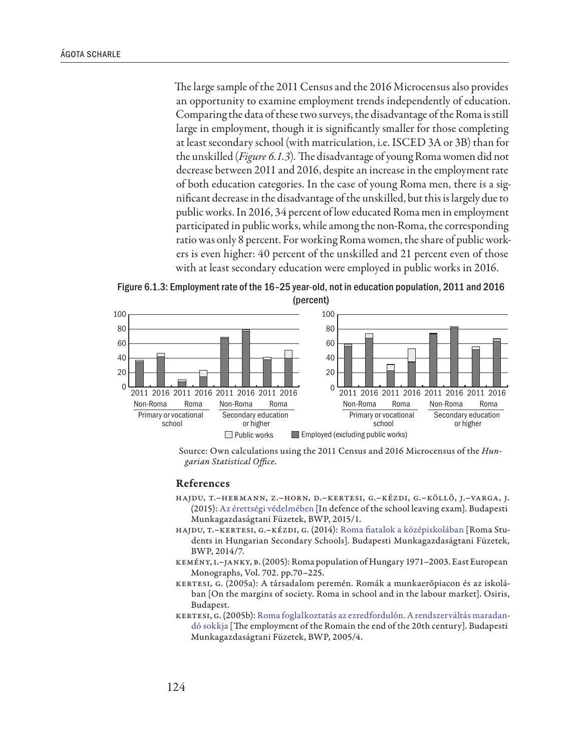The large sample of the 2011 Census and the 2016 Microcensus also provides an opportunity to examine employment trends independently of education. Comparing the data of these two surveys, the disadvantage of the Roma is still large in employment, though it is significantly smaller for those completing at least secondary school (with matriculation, i.e. ISCED 3A or 3B) than for the unskilled (*Figure 6.1.3*)*.* The disadvantage of young Roma women did not decrease between 2011 and 2016, despite an increase in the employment rate of both education categories. In the case of young Roma men, there is a significant decrease in the disadvantage of the unskilled, but this is largely due to public works. In 2016, 34 percent of low educated Roma men in employment participated in public works, while among the non-Roma, the corresponding ratio was only 8 percent. For working Roma women, the share of public workers is even higher: 40 percent of the unskilled and 21 percent even of those with at least secondary education were employed in public works in 2016.

Figure 6.1.3: Employment rate of the 16–25 year-old, not in education population, 2011 and 2016 (percent)



Source: Own calculations using the 2011 Census and 2016 Microcensus of the *Hungarian Statistical Office*.

#### References

- Hajdu, T.–Hermann, Z.–Horn, D.–Kertesi, G.–Kézdi, G.–Köllő, J.–Varga, J. (2015): [Az érettségi védelmében](http://www.econ.core.hu/file/download/bwp/bwp1501.pdf) [In defence of the school leaving exam]. Budapesti Munkagazdaságtani Füzetek, BWP, 2015/1.
- Hajdu, T.–Kertesi, G.–Kézdi, G. (2014): [Roma fiatalok a középiskolában](http://www.econ.core.hu/file/download/bwp/bwp1407.pdf) [Roma Students in Hungarian Secondary Schools]. Budapesti Munkagazdaságtani Füzetek, BWP, 2014/7.
- Kemény, I.–Janky, B. (2005): Roma population of Hungary 1971–2003. East European Monographs, Vol. 702. pp.70–225.
- Kertesi, G. (2005a): A társadalom peremén. Romák a munkaerőpiacon és az iskolában [On the margins of society. Roma in school and in the labour market]. Osiris, Budapest.
- KERTESI, G. (2005b): [Roma foglalkoztatás az ezredfordulón. A rendszerváltás maradan](http://www.econ.core.hu/doc/bwp/bwp/Bwp0504.pdf)[dó sokkja](http://www.econ.core.hu/doc/bwp/bwp/Bwp0504.pdf) [The employment of the Romain the end of the 20th century]. Budapesti Munkagazdaságtani Füzetek, BWP, 2005/4.